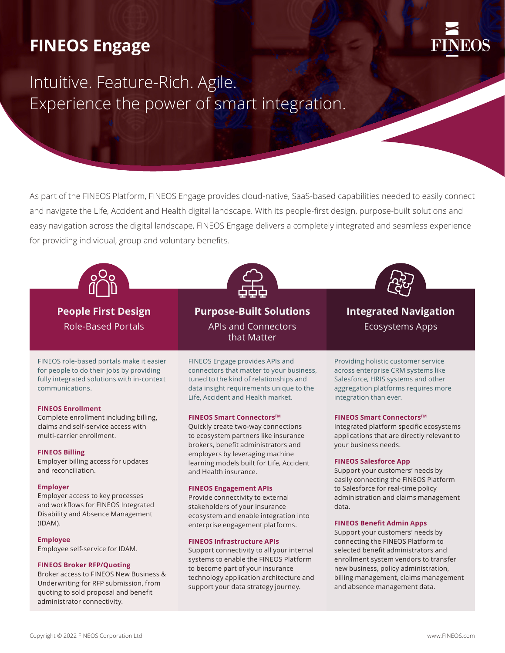# **FINEOS Engage**



# Intuitive. Feature-Rich. Agile. Experience the power of smart integration.

As part of the FINEOS Platform, FINEOS Engage provides cloud-native, SaaS-based capabilities needed to easily connect and navigate the Life, Accident and Health digital landscape. With its people-first design, purpose-built solutions and easy navigation across the digital landscape, FINEOS Engage delivers a completely integrated and seamless experience for providing individual, group and voluntary benefits.



**People First Design** Role-Based Portals

FINEOS role-based portals make it easier for people to do their jobs by providing fully integrated solutions with in-context communications.

#### **FINEOS Enrollment**

Complete enrollment including billing, claims and self-service access with multi-carrier enrollment.

#### **FINEOS Billing**

Employer billing access for updates and reconciliation.

#### **Employer**

Employer access to key processes and workflows for FINEOS Integrated Disability and Absence Management (IDAM).

#### **Employee**

Employee self-service for IDAM.

#### **FINEOS Broker RFP/Quoting**

Broker access to FINEOS New Business & Underwriting for RFP submission, from quoting to sold proposal and benefit administrator connectivity.



**Purpose-Built Solutions**  APIs and Connectors that Matter

FINEOS Engage provides APIs and connectors that matter to your business, tuned to the kind of relationships and data insight requirements unique to the Life, Accident and Health market.

#### **FINEOS Smart Connectors™**

Quickly create two-way connections to ecosystem partners like insurance brokers, benefit administrators and employers by leveraging machine learning models built for Life, Accident and Health insurance.

#### **FINEOS Engagement APIs**

Provide connectivity to external stakeholders of your insurance ecosystem and enable integration into enterprise engagement platforms.

#### **FINEOS Infrastructure APIs**

Support connectivity to all your internal systems to enable the FINEOS Platform to become part of your insurance technology application architecture and support your data strategy journey.



**Integrated Navigation** Ecosystems Apps

Providing holistic customer service across enterprise CRM systems like Salesforce, HRIS systems and other aggregation platforms requires more integration than ever.

#### **FINEOS Smart Connectors™**

Integrated platform specific ecosystems applications that are directly relevant to your business needs.

#### **FINEOS Salesforce App**

Support your customers' needs by easily connecting the FINEOS Platform to Salesforce for real-time policy administration and claims management data.

#### **FINEOS Benefit Admin Apps**

Support your customers' needs by connecting the FINEOS Platform to selected benefit administrators and enrollment system vendors to transfer new business, policy administration, billing management, claims management and absence management data.